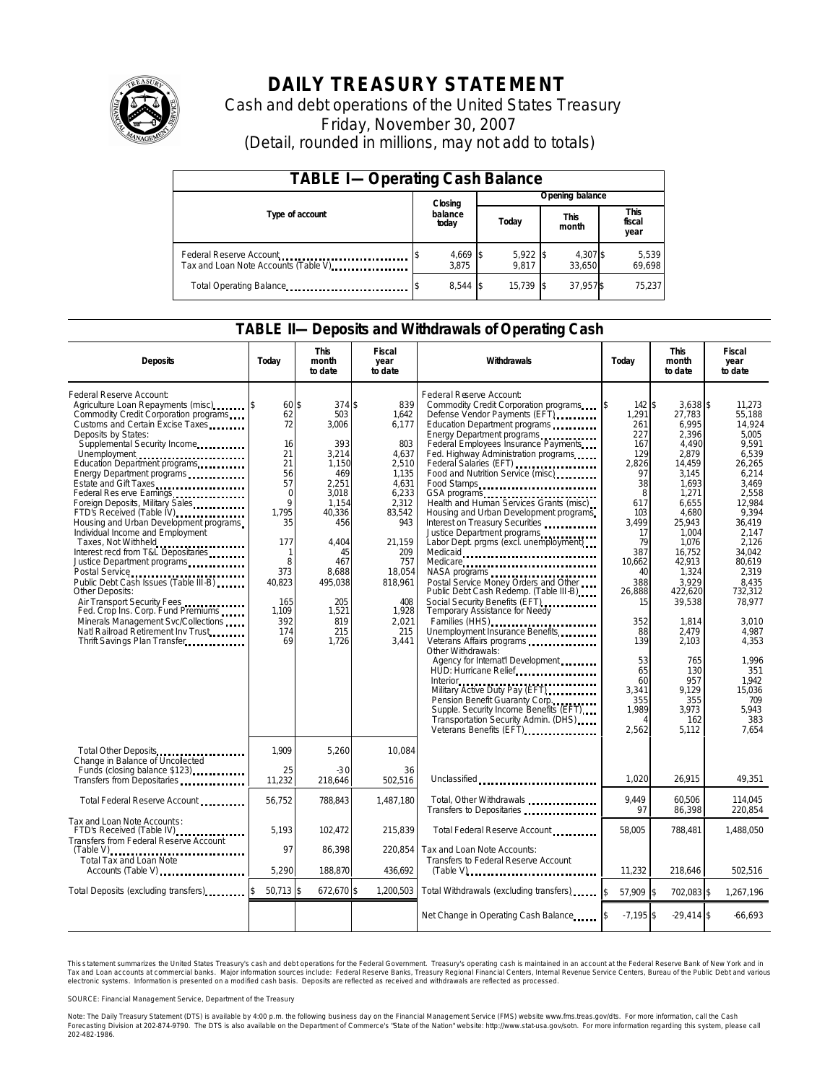

# **DAILY TREASURY STATEMENT**

Cash and debt operations of the United States Treasury Friday, November 30, 2007 (Detail, rounded in millions, may not add to totals)

| <b>TABLE I-Operating Cash Balance</b>                            |  |                             |  |                     |  |                      |  |                               |  |
|------------------------------------------------------------------|--|-----------------------------|--|---------------------|--|----------------------|--|-------------------------------|--|
|                                                                  |  | Closing<br>balance<br>today |  | Opening balance     |  |                      |  |                               |  |
| Type of account                                                  |  |                             |  | Today               |  | <b>This</b><br>month |  | <b>This</b><br>fiscal<br>year |  |
| Federal Reserve Account<br>Tax and Loan Note Accounts (Table V). |  | 4,669 \$<br>3.875           |  | $5,922$ \$<br>9.817 |  | 4,307 \$<br>33.650   |  | 5,539<br>69,698               |  |
| Total Operating Balance                                          |  | $8,544$ \$                  |  | 15.739              |  | 37,957\$             |  | 75.237                        |  |

### **TABLE II—Deposits and Withdrawals of Operating Cash**

| <b>Deposits</b>                                                                                                                                                                                                                                                                                                                                                                                                                                                                                                                                                                                                                                                                                                                                                                                                                       | Today                                                                                                                                                               | <b>This</b><br>month<br>to date                                                                                                                                                     | <b>Fiscal</b><br>year<br>to date                                                                                                                                                          | Withdrawals                                                                                                                                                                                                                                                                                                                                                                                                                                                                                                                                                                                                                                                                                                                                                                                                                                                                                                                                                                                                                                                                    | Today                                                                                                                                                                                                                     | <b>This</b><br>month<br>to date                                                                                                                                                                                                                                                        | Fiscal<br>year<br>to date                                                                                                                                                                                                                                                                 |
|---------------------------------------------------------------------------------------------------------------------------------------------------------------------------------------------------------------------------------------------------------------------------------------------------------------------------------------------------------------------------------------------------------------------------------------------------------------------------------------------------------------------------------------------------------------------------------------------------------------------------------------------------------------------------------------------------------------------------------------------------------------------------------------------------------------------------------------|---------------------------------------------------------------------------------------------------------------------------------------------------------------------|-------------------------------------------------------------------------------------------------------------------------------------------------------------------------------------|-------------------------------------------------------------------------------------------------------------------------------------------------------------------------------------------|--------------------------------------------------------------------------------------------------------------------------------------------------------------------------------------------------------------------------------------------------------------------------------------------------------------------------------------------------------------------------------------------------------------------------------------------------------------------------------------------------------------------------------------------------------------------------------------------------------------------------------------------------------------------------------------------------------------------------------------------------------------------------------------------------------------------------------------------------------------------------------------------------------------------------------------------------------------------------------------------------------------------------------------------------------------------------------|---------------------------------------------------------------------------------------------------------------------------------------------------------------------------------------------------------------------------|----------------------------------------------------------------------------------------------------------------------------------------------------------------------------------------------------------------------------------------------------------------------------------------|-------------------------------------------------------------------------------------------------------------------------------------------------------------------------------------------------------------------------------------------------------------------------------------------|
| Federal Reserve Account:<br>Agriculture Loan Repayments (misc) [\$<br>Commodity Credit Corporation programs<br>Customs and Certain Excise Taxes<br>Deposits by States:<br>Supplemental Security Income<br>Unemployment<br>Education Department programs<br>Energy Department programs<br>Estate and Gift Taxes<br>Federal Res erve Earnings<br>Foreign Deposits, Military Sales<br>FTD's Received (Table IV)<br>Housing and Urban Development programs<br>Individual Income and Employment<br>Taxes, Not Withheld<br>Interest recd from T&L Depositaries<br>Justice Department programs<br>Public Debt Cash Issues (Table III-B)<br>Other Deposits:<br>Air Transport Security Fees<br>Fed. Crop Ins. Corp. Fund Premiums<br>Minerals Management Svc/Collections<br>Natl Railroad Retirement Inv Trust<br>Thrift Savings Plan Transfer | 60 \$<br>62<br>72<br>16<br>21<br>21<br>56<br>57<br>$\mathbf 0$<br>$\mathsf{Q}$<br>1.795<br>35<br>177<br>1<br>8<br>373<br>40,823<br>165<br>1,109<br>392<br>174<br>69 | 374 \$<br>503<br>3.006<br>393<br>3,214<br>1,150<br>469<br>2.251<br>3.018<br>1.154<br>40.336<br>456<br>4.404<br>45<br>467<br>8.688<br>495,038<br>205<br>1,521<br>819<br>215<br>1,726 | 839<br>1,642<br>6.177<br>803<br>4.637<br>2,510<br>1,135<br>4.631<br>6,233<br>2.312<br>83.542<br>943<br>21,159<br>209<br>757<br>18,054<br>818,961<br>408<br>1,928<br>2,021<br>215<br>3,441 | Federal Reserve Account:<br>Commodity Credit Corporation programs<br>Defense Vendor Payments (EFT)<br>Education Department programs<br>Energy Department programs<br>Federal Employees Insurance Payments<br>Fed. Highway Administration programs<br>Federal Salaries (EFT)<br>Food and Nutrition Service (misc)<br>Food Stamps<br>GSA programs<br>Health and Human Services Grants (misc)<br>Housing and Urban Development programs<br>Interest on Treasury Securities<br>Justice Department programs<br>Labor Dept. prgms (excl. unemployment)<br>Medicaid<br>Medicare<br>NASA programs<br>Postal Service Money Orders and Other<br>Public Debt Cash Redemp. (Table III-B)<br>Social Security Benefits (EFT)<br>Temporary Assistance for Needy<br>Families (HHS)<br>Unemployment Insurance Benefits<br>Other Withdrawals:<br>Agency for Internat'l Development<br>HUD: Hurricane Relief<br><b>Interior</b><br>Interior<br>Military Active Duty Pay (EFT)<br>Pension Benefit Guaranty Corp.<br>Supple. Security Income Benefits (EFT)<br>Transportation Security Admin. (DHS) | 142S<br>ß.<br>1.291<br>261<br>227<br>167<br>129<br>2,826<br>97<br>38<br>8<br>617<br>103<br>3,499<br>17<br>79<br>387<br>10.662<br>40<br>388<br>26.888<br>15<br>352<br>88<br>139<br>53<br>65<br>60<br>3,341<br>355<br>1,989 | $3.638$ \$<br>27.783<br>6.995<br>2,396<br>4,490<br>2.879<br>14,459<br>3.145<br>1.693<br>1,271<br>6.655<br>4.680<br>25.943<br>1,004<br>1,076<br>16,752<br>42.913<br>1,324<br>3,929<br>422,620<br>39,538<br>1,814<br>2.479<br>2,103<br>765<br>130<br>957<br>9.129<br>355<br>3,973<br>162 | 11.273<br>55.188<br>14.924<br>5.005<br>9,591<br>6.539<br>26,265<br>6.214<br>3.469<br>2.558<br>12.984<br>9,394<br>36.419<br>2,147<br>2.126<br>34.042<br>80.619<br>2.319<br>8.435<br>732.312<br>78.977<br>3.010<br>4.987<br>4,353<br>1.996<br>351<br>1.942<br>15,036<br>709<br>5,943<br>383 |
| Total Other Deposits<br>Change in Balance of Uncolected                                                                                                                                                                                                                                                                                                                                                                                                                                                                                                                                                                                                                                                                                                                                                                               | 1,909                                                                                                                                                               | 5,260                                                                                                                                                                               | 10,084                                                                                                                                                                                    | Veterans Benefits (EFT)<br>university versions of the sense of the sense of the sense of the sense of the sense of the sense of the sense of the sense of the sense of the sense of the sense of the sense of the sense of the s                                                                                                                                                                                                                                                                                                                                                                                                                                                                                                                                                                                                                                                                                                                                                                                                                                               | 2.562                                                                                                                                                                                                                     | 5.112                                                                                                                                                                                                                                                                                  | 7.654                                                                                                                                                                                                                                                                                     |
| Funds (closing balance \$123)<br>Funds                                                                                                                                                                                                                                                                                                                                                                                                                                                                                                                                                                                                                                                                                                                                                                                                | 25<br>11,232                                                                                                                                                        | $-30$<br>218,646                                                                                                                                                                    | 36<br>502,516                                                                                                                                                                             | Unclassified                                                                                                                                                                                                                                                                                                                                                                                                                                                                                                                                                                                                                                                                                                                                                                                                                                                                                                                                                                                                                                                                   | 1.020                                                                                                                                                                                                                     | 26,915                                                                                                                                                                                                                                                                                 | 49,351                                                                                                                                                                                                                                                                                    |
| Total Federal Reserve Account                                                                                                                                                                                                                                                                                                                                                                                                                                                                                                                                                                                                                                                                                                                                                                                                         | 56,752                                                                                                                                                              | 788,843                                                                                                                                                                             | 1.487.180                                                                                                                                                                                 | Total, Other Withdrawals<br>Transfers to Depositaries                                                                                                                                                                                                                                                                                                                                                                                                                                                                                                                                                                                                                                                                                                                                                                                                                                                                                                                                                                                                                          | 9,449<br>97                                                                                                                                                                                                               | 60,506<br>86,398                                                                                                                                                                                                                                                                       | 114,045<br>220,854                                                                                                                                                                                                                                                                        |
| Tax and Loan Note Accounts:<br>FTD's Received (Table IV)<br>Transfers from Federal Reserve Account<br>$(Table V)$                                                                                                                                                                                                                                                                                                                                                                                                                                                                                                                                                                                                                                                                                                                     | 5.193<br>97                                                                                                                                                         | 102.472<br>86.398                                                                                                                                                                   | 215.839<br>220.854                                                                                                                                                                        | Total Federal Reserve Account<br>Tax and Loan Note Accounts:                                                                                                                                                                                                                                                                                                                                                                                                                                                                                                                                                                                                                                                                                                                                                                                                                                                                                                                                                                                                                   | 58.005                                                                                                                                                                                                                    | 788,481                                                                                                                                                                                                                                                                                | 1,488,050                                                                                                                                                                                                                                                                                 |
| <br>Total Tax and Loan Note<br>Accounts (Table V)                                                                                                                                                                                                                                                                                                                                                                                                                                                                                                                                                                                                                                                                                                                                                                                     | 5.290                                                                                                                                                               | 188.870                                                                                                                                                                             | 436,692                                                                                                                                                                                   | Transfers to Federal Reserve Account                                                                                                                                                                                                                                                                                                                                                                                                                                                                                                                                                                                                                                                                                                                                                                                                                                                                                                                                                                                                                                           | 11,232                                                                                                                                                                                                                    | 218,646                                                                                                                                                                                                                                                                                | 502,516                                                                                                                                                                                                                                                                                   |
| Total Deposits (excluding transfers)                                                                                                                                                                                                                                                                                                                                                                                                                                                                                                                                                                                                                                                                                                                                                                                                  | $50,713$ \$                                                                                                                                                         | 672,670 \$                                                                                                                                                                          | 1,200,503                                                                                                                                                                                 | Total Withdrawals (excluding transfers)                                                                                                                                                                                                                                                                                                                                                                                                                                                                                                                                                                                                                                                                                                                                                                                                                                                                                                                                                                                                                                        | 57,909 \$<br><sup>\$</sup>                                                                                                                                                                                                | 702,083 \$                                                                                                                                                                                                                                                                             | 1,267,196                                                                                                                                                                                                                                                                                 |
|                                                                                                                                                                                                                                                                                                                                                                                                                                                                                                                                                                                                                                                                                                                                                                                                                                       |                                                                                                                                                                     |                                                                                                                                                                                     |                                                                                                                                                                                           | Net Change in Operating Cash Balance                                                                                                                                                                                                                                                                                                                                                                                                                                                                                                                                                                                                                                                                                                                                                                                                                                                                                                                                                                                                                                           | $-7,195$ \$                                                                                                                                                                                                               | $-29,414$ \$                                                                                                                                                                                                                                                                           | $-66,693$                                                                                                                                                                                                                                                                                 |

This statement summarizes the United States Treasury's cash and debt operations for the Federal Government. Treasury's operating cash is maintained in an account at the Federal Reserve Bank of New York and in Tax and Loan accounts at commercial banks. Major information sources include: Federal Reserve Banks, Treasury Regional Financial Centers, Internal Revenue Service Centers, Bureau of the Public Debt and various<br>electronic s

SOURCE: Financial Management Service, Department of the Treasury

Note: The Daily Treasury Statement (DTS) is available by 4:00 p.m. the following business day on the Financial Management Service (FMS) website www.fms.treas.gov/dts. For more information, call the Cash<br>Forecasting Divisio 'S) is available by 4:00 p.m. the following business day on the Financial Management Service (FMS) website www.fms.treas.gov/dts. For more information, call the Cash<br>The DTS is also available on the Department of Commerce'